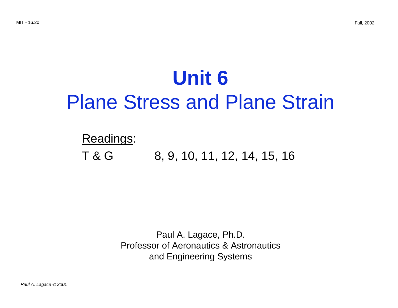# **Unit 6** Plane Stress and Plane Strain

# Readings:

# T & G 8, 9, 10, 11, 12, 14, 15, 16

Paul A. Lagace, Ph.D. Professor of Aeronautics & Astronautics and Engineering Systems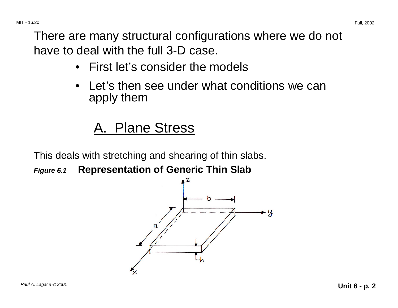There are many structural configurations where we do not have to deal with the full 3-D case.

- First let's consider the models
- Let's then see under what conditions we can apply them

# A. Plane Stress

This deals with stretching and shearing of thin slabs.

**Figure 6.1 Representation of Generic Thin Slab** 

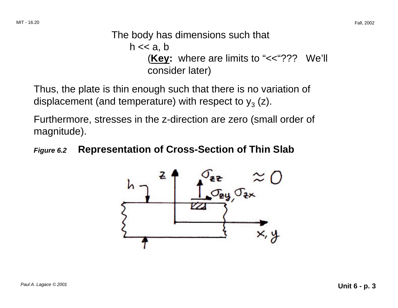### The body has dimensions such that  $h \ll a, b$ (**Key:** where are limits to "<<"??? We'll consider later)

Thus, the plate is thin enough such that there is no variation of displacement (and temperature) with respect to  $y_3$  (z).

Furthermore, stresses in the z-direction are zero (small order of magnitude).

#### **Figure 6.2 Representation of Cross-Section of Thin Slab**

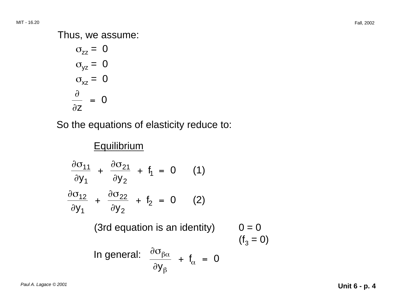#### Thus, we assume:

 $\sigma_{zz} = 0$  $\sigma_{yz} = 0$  $\sigma_{xz} = 0$  $\partial$ = 0 ∂z

So the equations of elasticity reduce to:

### **Equilibrium**

$$
\frac{\partial \sigma_{11}}{\partial y_1} + \frac{\partial \sigma_{21}}{\partial y_2} + f_1 = 0 \qquad (1)
$$
\n
$$
\frac{\partial \sigma_{12}}{\partial y_1} + \frac{\partial \sigma_{22}}{\partial y_2} + f_2 = 0 \qquad (2)
$$
\n(3rd equation is an identity) 
$$
0 = 0
$$
\n
$$
(f_3 = 0)
$$
\nIn general: 
$$
\frac{\partial \sigma_{\beta\alpha}}{\partial y_\beta} + f_\alpha = 0
$$

 $\vert$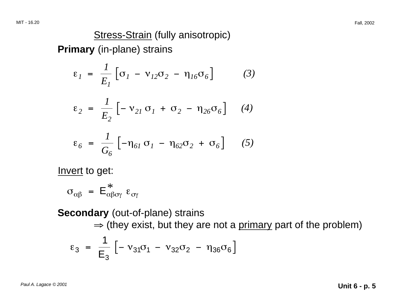### Stress-Strain (fully anisotropic)

**Primary** (in-plane) strains

$$
\varepsilon_1 = \frac{1}{E_1} \left[ \sigma_1 - \nu_{12} \sigma_2 - \eta_{16} \sigma_6 \right] \tag{3}
$$

$$
\varepsilon_2 = \frac{1}{E_2} \left[ -\nu_{2I} \sigma_I + \sigma_2 - \eta_{26} \sigma_6 \right] \quad (4)
$$

$$
\varepsilon_6 = \frac{1}{G_6} \left[ -\eta_{61} \sigma_1 - \eta_{62} \sigma_2 + \sigma_6 \right] \qquad (5)
$$

Invert to get:

$$
\sigma_{\alpha\beta} = E^*_{\alpha\beta\sigma\gamma} \ \epsilon_{\sigma\gamma}
$$

**Secondary** (out-of-plane) strains

 $\Rightarrow$  (they exist, but they are not a primary part of the problem)

$$
\varepsilon_3 = \frac{1}{E_3} \left[ -v_{31} \sigma_1 - v_{32} \sigma_2 - \eta_{36} \sigma_6 \right]
$$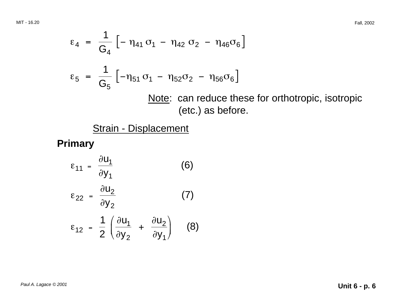MIT - 16.20 Fall, 2002

$$
\varepsilon_4 = \frac{1}{G_4} \left[ -\eta_{41} \sigma_1 - \eta_{42} \sigma_2 - \eta_{46} \sigma_6 \right]
$$
  
\n
$$
\varepsilon_5 = \frac{1}{G_5} \left[ -\eta_{51} \sigma_1 - \eta_{52} \sigma_2 - \eta_{56} \sigma_6 \right]
$$
  
\nNote: can reduce these for orthotropic, isotropic  
\n(etc.) as before.

Strain - Displacement

**Primary** 

$$
\varepsilon_{11} = \frac{\partial u_1}{\partial y_1}
$$
 (6)  

$$
\varepsilon_{22} = \frac{\partial u_2}{\partial y_2}
$$
 (7)  

$$
\varepsilon_{12} = \frac{1}{2} \left( \frac{\partial u_1}{\partial y_2} + \frac{\partial u_2}{\partial y_1} \right)
$$
 (8)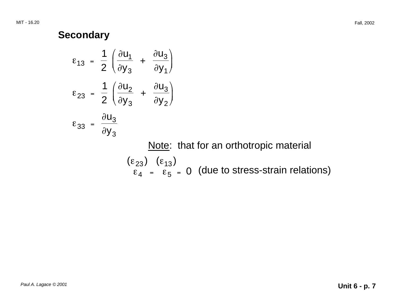#### **Secondary**

$$
\varepsilon_{13} = \frac{1}{2} \left( \frac{\partial u_1}{\partial y_3} + \frac{\partial u_3}{\partial y_1} \right)
$$
  

$$
\varepsilon_{23} = \frac{1}{2} \left( \frac{\partial u_2}{\partial y_3} + \frac{\partial u_3}{\partial y_2} \right)
$$
  

$$
\varepsilon_{33} = \frac{\partial u_3}{\partial y_3}
$$

Note: that for an orthotropic material

 $(\epsilon_{23})$   $(\epsilon_{13})$  $\frac{1237}{\epsilon_4}$  =  $\frac{1237}{\epsilon_5}$  = 0 (due to stress-strain relations)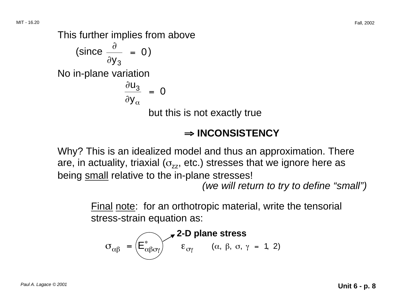This further implies from above  $\text{(since } \frac{\partial}{\partial y_3} = 0\text{)}$ No in-plane variation  $\frac{\partial u_3}{\partial x_2} = 0$ ∂y $_\alpha$ 

but this is not exactly true

## ⇒ <sup>⇒</sup> **INCONSISTENCY**

Why? This is an idealized model and thus an approximation. There are, in actuality, triaxial ( $\sigma_{zz}$ , etc.) stresses that we ignore here as being small relative to the in-plane stresses!

(we will return to try to define "small")

Final note: for an orthotropic material, write the tensorial stress-strain equation as:

$$
\sigma_{\alpha\beta} = \left(\overrightarrow{E_{\alpha\beta\sigma\gamma}}\right)^2 \mathbf{2-D plane stress}
$$
\n
$$
\varepsilon_{\sigma\gamma} \qquad (\alpha, \beta, \sigma, \gamma = 1, 2)
$$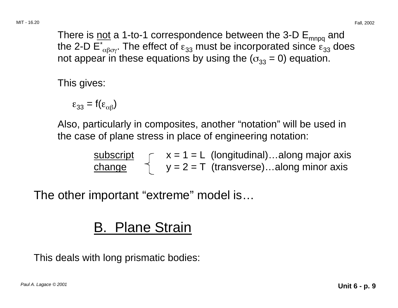There is not a 1-to-1 correspondence between the 3-D  $E_{mnpq}$  and the 2-D  $\overline{E_{\alpha\beta\alpha}}$ . The effect of  $\varepsilon_{33}$  must be incorporated since  $\varepsilon_{33}$  does not appear in these equations by using the ( $\sigma_{33} = 0$ ) equation.

This gives:

$$
\varepsilon_{33} = f(\varepsilon_{\alpha\beta})
$$

Also, particularly in composites, another "notation" will be used in the case of plane stress in place of engineering notation:

| subscript     |  | $x = 1 = L$ (longitudinal)along major axis |
|---------------|--|--------------------------------------------|
| <u>change</u> |  | $y = 2 = T$ (transverse)along minor axis   |

The other important "extreme" model is…

# B. Plane Strain

This deals with long prismatic bodies: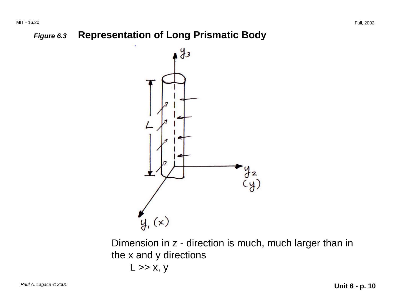#### **Figure 6.3 Representation of Long Prismatic Body**



Dimension in z - direction is much, much larger than in the x and y directions  $L \gg x, y$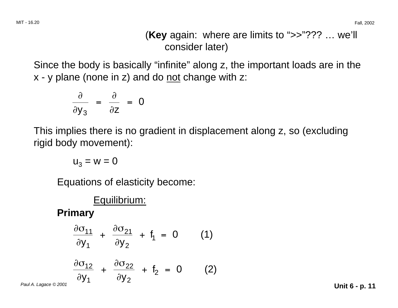(**Key** again: where are limits to ">>"??? … we'll consider later)

Since the body is basically "infinite" along z, the important loads are in the x - y plane (none in z) and do not change with z:

$$
\frac{\partial}{\partial y_3} = \frac{\partial}{\partial z} = 0
$$

This implies there is no gradient in displacement along z, so (excluding rigid body movement):

$$
u_3 = w = 0
$$

Equations of elasticity become:

# Equilibrium: **Primary**   $\frac{\partial \sigma_{11}}{\partial y_1} + \frac{\partial \sigma_{21}}{\partial y_2} + f_1 = 0$  (1)  $\frac{\partial \sigma_{12}}{\partial y_1} + \frac{\partial \sigma_{22}}{\partial y_2} + f_2 = 0$  (2) Paul A. Lagace © 2001 **Unit 6 - p. 11**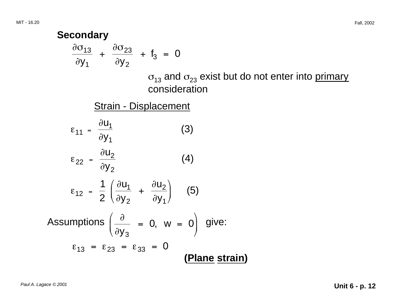**Secondary**  
\n
$$
\frac{\partial \sigma_{13}}{\partial y_1} + \frac{\partial \sigma_{23}}{\partial y_2} + f_3 = 0
$$
\n
$$
\sigma_{13} \text{ and } \sigma_{23} \text{ exist but do not enter into primary consideration}
$$
\n
$$
\frac{\text{Strain - Displacement}}{\partial y_1}
$$
\n
$$
\varepsilon_{11} = \frac{\partial u_1}{\partial y_1}
$$
\n(3)\n
$$
\varepsilon_{22} = \frac{\partial u_2}{\partial y_2}
$$
\n(4)\n
$$
\varepsilon_{12} = \frac{1}{2} \left( \frac{\partial u_1}{\partial y_2} + \frac{\partial u_2}{\partial y_1} \right)
$$
\n
$$
\varepsilon_{13} = \varepsilon_{23} = \varepsilon_{33} = 0
$$
\n(Plane strain)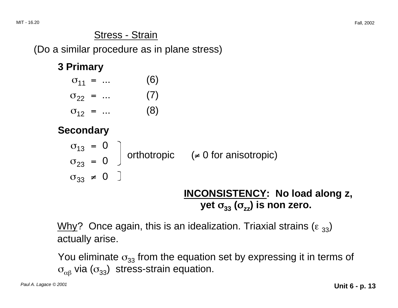## Stress - Strain

(Do a similar procedure as in plane stress)

### **3 Primary**

| $\sigma_{11} = $ |  | (6) |
|------------------|--|-----|
| $\sigma_{22}$ =  |  | (7) |
| $\sigma_{12} = $ |  | (8) |

**Secondary** 

$$
\begin{array}{rcl}\n\sigma_{13} &=& 0 \\
\sigma_{23} &=& 0\n\end{array}\n\bigg\} \text{ orthotropic} \qquad (\neq 0 \text{ for anisotropic})
$$
\n
$$
\sigma_{33} \neq 0 \quad \bigg]
$$

## yet  $\sigma_{33}$  ( $\sigma_{\rm zz}$ ) is non zero. **INCONSISTENCY: No load along z,**

Why? Once again, this is an idealization. Triaxial strains ( $\epsilon_{33}$ ) actually arise.

You eliminate  $\sigma_{33}$  from the equation set by expressing it in terms of  $\sigma_{\alpha\beta}$  via ( $\sigma_{33}$ ) stress-strain equation.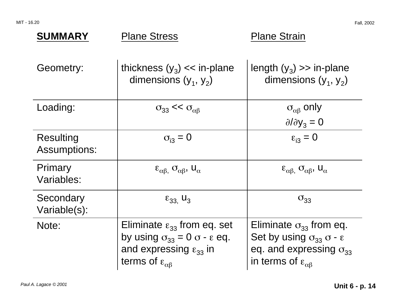MIT - 16.20 Fall, 2002

| <b>SUMMARY</b>                   | <b>Plane Stress</b>                                                                                                                                                                  | <b>Plane Strain</b>                                                                                                                                                    |
|----------------------------------|--------------------------------------------------------------------------------------------------------------------------------------------------------------------------------------|------------------------------------------------------------------------------------------------------------------------------------------------------------------------|
| Geometry:                        | thickness $(y_3) \ll \text{in-plane}$<br>dimensions $(y_1, y_2)$                                                                                                                     | length $(y_3) \gg$ in-plane<br>dimensions $(y_1, y_2)$                                                                                                                 |
| Loading:                         | $\sigma_{33} \ll \sigma_{\alpha\beta}$                                                                                                                                               | $\sigma_{\alpha\beta}$ only<br>$\partial/\partial y_3 = 0$                                                                                                             |
| Resulting<br><b>Assumptions:</b> | $\sigma_{i3} = 0$                                                                                                                                                                    | $\epsilon_{i3} = 0$                                                                                                                                                    |
| Primary<br>Variables:            | $\epsilon_{\alpha\beta}$ , $\sigma_{\alpha\beta}$ , $U_{\alpha}$                                                                                                                     | $\epsilon_{\alpha\beta}$ , $\sigma_{\alpha\beta}$ , $U_{\alpha}$                                                                                                       |
| Secondary<br>Variable(s):        | $\varepsilon_{33}$ , U <sub>3</sub>                                                                                                                                                  | $\sigma_{33}$                                                                                                                                                          |
| Note:                            | Eliminate $\varepsilon_{33}$ from eq. set<br>by using $\sigma_{33} = 0$ $\sigma$ - $\varepsilon$ eq.<br>and expressing $\varepsilon_{33}$ in<br>terms of $\varepsilon_{\alpha\beta}$ | Eliminate $\sigma_{33}$ from eq.<br>Set by using $\sigma_{33}$ $\sigma$ - $\varepsilon$<br>eq. and expressing $\sigma_{33}$<br>in terms of $\varepsilon_{\alpha\beta}$ |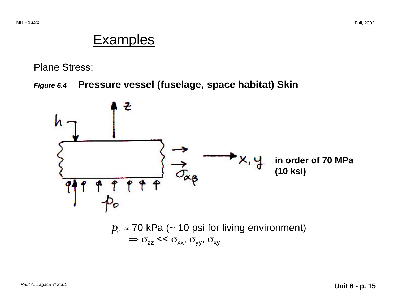# **Examples**

Plane Stress:

#### **Figure 6.4 Pressure vessel (fuselage, space habitat) Skin**

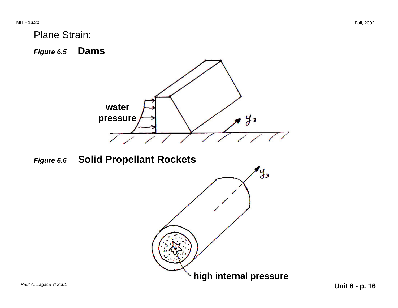Plane Strain:

**Figure 6.5 Dams** 



**Figure 6.6 Solid Propellant Rockets** 

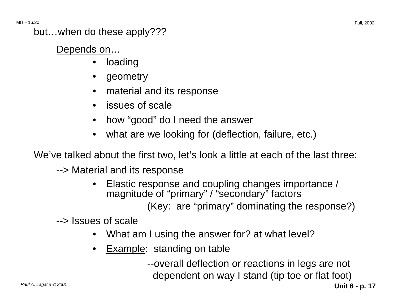MIT - 16.20 Fall, 2002

but…when do these apply???

Depends on…

- loading
- geometry
- material and its response
- issues of scale
- how "good" do I need the answer
- •what are we looking for (deflection, failure, etc.)

We've talked about the first two, let's look a little at each of the last three:

--> Material and its response

• Elastic response and coupling changes importance / magnitude of "primary" / "secondary" factors (Key: are "primary" dominating the response?)

--> Issues of scale

- What am I using the answer for? at what level?
- Example: standing on table

--overall deflection or reactions in legs are not dependent on way I stand (tip toe or flat foot)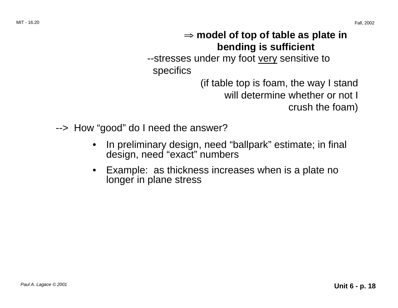## <sup>⇒</sup> **model of top of table as plate in bending is sufficient**

--stresses under my foot very sensitive to specifics

> (if table top is foam, the way I stand will determine whether or not I crush the foam)

--> How "good" do I need the answer?

- In preliminary design, need "ballpark" estimate; in final design, need "exact" numbers
- Example: as thickness increases when is a plate no longer in plane stress